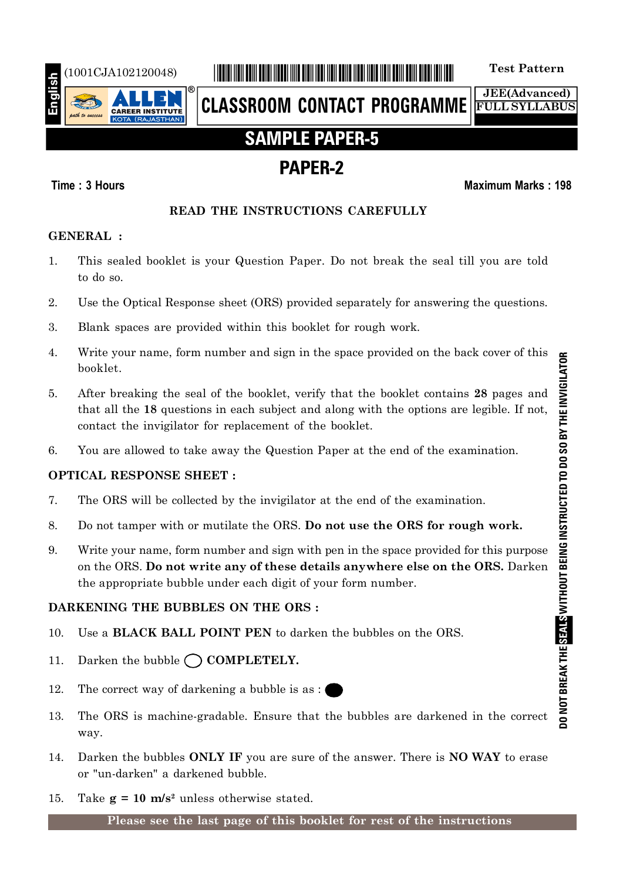

# (1001CJA102120048) \*1001CJA102120048\* **Test Pattern**

**CLASSROOM CONTACT PROGRAMME**

**JEE(Advanced) FULL SYLLABUS**

# **SAMPLE PAPER-5**

# **PAPER-2**

## **Time : 3 Hours Maximum Marks : 198**

## **READ THE INSTRUCTIONS CAREFULLY**

## **GENERAL :**

- 1. This sealed booklet is your Question Paper. Do not break the seal till you are told to do so.
- 2. Use the Optical Response sheet (ORS) provided separately for answering the questions.
- 3. Blank spaces are provided within this booklet for rough work.
- 4. Write your name, form number and sign in the space provided on the back cover of this booklet.
- 5. After breaking the seal of the booklet, verify that the booklet contains **28** pages and that all the **18** questions in each subject and along with the options are legible. If not, contact the invigilator for replacement of the booklet.
- 6. You are allowed to take away the Question Paper at the end of the examination.

# **OPTICAL RESPONSE SHEET :**

- 7. The ORS will be collected by the invigilator at the end of the examination.
- 8. Do not tamper with or mutilate the ORS. **Do not use the ORS for rough work.**
- 9. Write your name, form number and sign with pen in the space provided for this purpose on the ORS. **Do not write any of these details anywhere else on the ORS.** Darken the appropriate bubble under each digit of your form number.

# **DARKENING THE BUBBLES ON THE ORS :**

- 10. Use a **BLACK BALL POINT PEN** to darken the bubbles on the ORS.
- 11. Darken the bubble  $\bigcap$  **COMPLETELY.**
- 12. The correct way of darkening a bubble is as :
- 13. The ORS is machine-gradable. Ensure that the bubbles are darkened in the correct way.
- 14. Darken the bubbles **ONLY IF** you are sure of the answer. There is **NO WAY** to erase or "un-darken" a darkened bubble.
- 15. Take  $g = 10$  m/s<sup>2</sup> unless otherwise stated.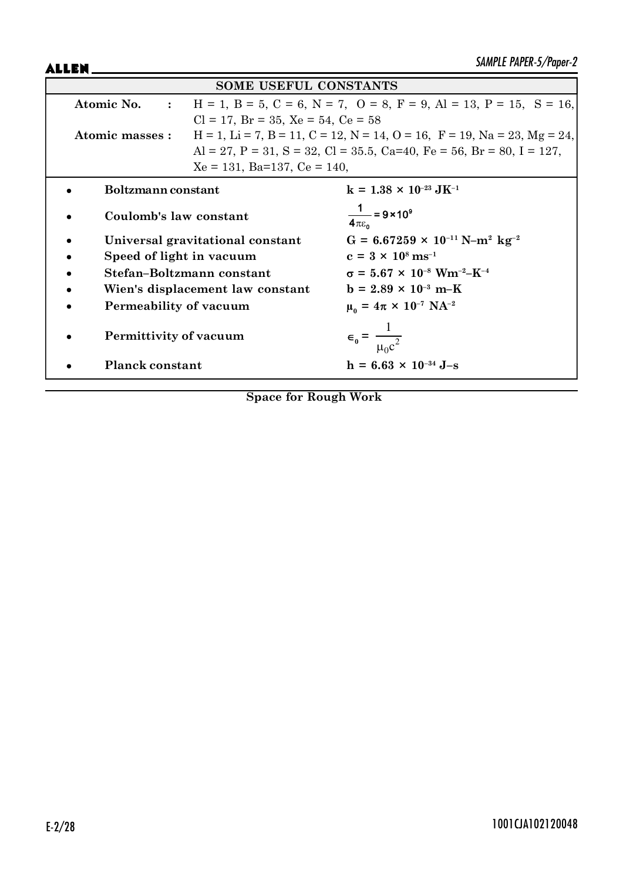ALLEN\_

| <b>SOME USEFUL CONSTANTS</b>     |                                                                                               |                                                                             |  |
|----------------------------------|-----------------------------------------------------------------------------------------------|-----------------------------------------------------------------------------|--|
| Atomic No. :                     | $H = 1$ , $B = 5$ , $C = 6$ , $N = 7$ , $O = 8$ , $F = 9$ , $Al = 13$ , $P = 15$ , $S = 16$ , |                                                                             |  |
|                                  | $Cl = 17$ , $Br = 35$ , $Xe = 54$ , $Ce = 58$                                                 |                                                                             |  |
| Atomic masses :                  |                                                                                               | $H = 1$ , Li = 7, B = 11, C = 12, N = 14, O = 16, F = 19, Na = 23, Mg = 24, |  |
|                                  |                                                                                               | Al = 27, P = 31, S = 32, Cl = 35.5, Ca=40, Fe = 56, Br = 80, I = 127,       |  |
|                                  | $Xe = 131$ , Ba=137, Ce = 140,                                                                |                                                                             |  |
| Boltzmann constant               |                                                                                               | $k = 1.38 \times 10^{-23} \text{ J} \text{K}^{-1}$                          |  |
| Coulomb's law constant           |                                                                                               | $\frac{1}{4\pi\epsilon_0}$ = 9 × 10 <sup>9</sup>                            |  |
|                                  | Universal gravitational constant                                                              | $G = 6.67259 \times 10^{-11} \text{ N} - \text{m}^2 \text{ kg}^{-2}$        |  |
| Speed of light in vacuum         |                                                                                               | $c = 3 \times 10^8 \text{ ms}^{-1}$                                         |  |
| Stefan-Boltzmann constant        |                                                                                               | $\sigma = 5.67 \times 10^{-8}$ Wm <sup>-2</sup> -K <sup>-4</sup>            |  |
| Wien's displacement law constant |                                                                                               | $b = 2.89 \times 10^{-3} \text{ m-K}$                                       |  |
| Permeability of vacuum           |                                                                                               | $\mu_0 = 4\pi \times 10^{-7} \text{ NA}^{-2}$                               |  |
| Permittivity of vacuum           |                                                                                               | $\epsilon_0 = \frac{1}{\mu_0 c^2}$                                          |  |
| <b>Planck constant</b>           |                                                                                               | $h = 6.63 \times 10^{-34}$ J-s                                              |  |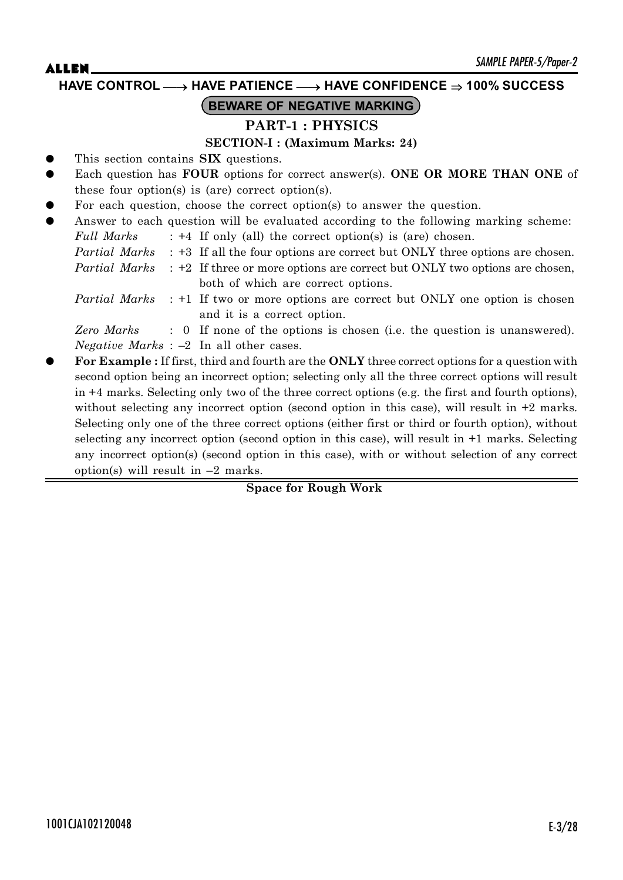**HAVE CONTROL** o **HAVE PATIENCE** o **HAVE CONFIDENCE 100% SUCCESS**

# **BEWARE OF NEGATIVE MARKING**

# **PART-1 : PHYSICS**

## **SECTION-I : (Maximum Marks: 24)**

- This section contains **SIX** questions.
- Each question has **FOUR** options for correct answer(s). **ONE OR MORE THAN ONE** of these four option(s) is (are) correct option(s).
- For each question, choose the correct option(s) to answer the question.
- Answer to each question will be evaluated according to the following marking scheme:
	- *Full Marks* : +4 If only (all) the correct option(s) is (are) chosen.
	- *Partial Marks* : +3 If all the four options are correct but ONLY three options are chosen.

*Partial Marks* : +2 If three or more options are correct but ONLY two options are chosen, both of which are correct options.

*Partial Marks* : +1 If two or more options are correct but ONLY one option is chosen and it is a correct option.

*Zero Marks* : 0 If none of the options is chosen (i.e. the question is unanswered). *Negative Marks* : –2 In all other cases.

z **For Example :** If first, third and fourth are the **ONLY** three correct options for a question with second option being an incorrect option; selecting only all the three correct options will result in +4 marks. Selecting only two of the three correct options (e.g. the first and fourth options), without selecting any incorrect option (second option in this case), will result in  $+2$  marks. Selecting only one of the three correct options (either first or third or fourth option), without selecting any incorrect option (second option in this case), will result in +1 marks. Selecting any incorrect option(s) (second option in this case), with or without selection of any correct option(s) will result in  $-2$  marks.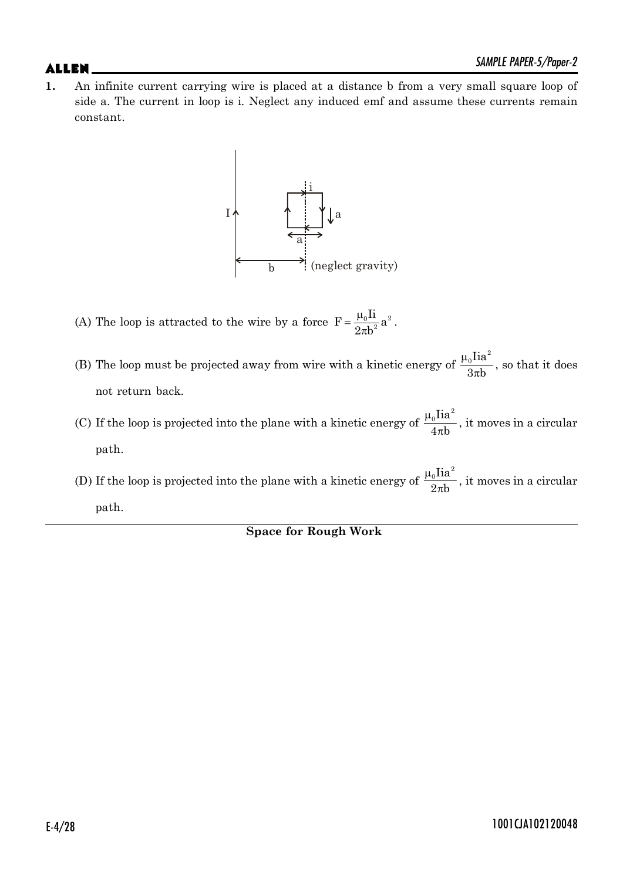**1.** An infinite current carrying wire is placed at a distance b from a very small square loop of side a. The current in loop is i. Neglect any induced emf and assume these currents remain constant.



- (A) The loop is attracted to the wire by a force  $F = \frac{\mu_0 I i}{2h^2} a^2$  $2\pi b$  $=\frac{\mu}{\sigma}$  $\pi$ .
- (B) The loop must be projected away from wire with a kinetic energy of  $_{\rm 0}$ Iia $^{\rm 2}$  $3\pi b$  $\mu$  $\frac{\overline{\text{na}}}{\pi \text{b}}$ , so that it does not return back.
- (C) If the loop is projected into the plane with a kinetic energy of  $_{0}$ Iia $^{2}$  $4\pi b$  $\mu$  $\frac{\overline{\text{max}}}{\pi \text{b}}$ , it moves in a circular path.
- (D) If the loop is projected into the plane with a kinetic energy of  $_{0}$ Iia<sup>2</sup>  $2\pi b$  $\mu$  $\frac{\overline{\text{m}}}{\pi \text{b}}$ , it moves in a circular path.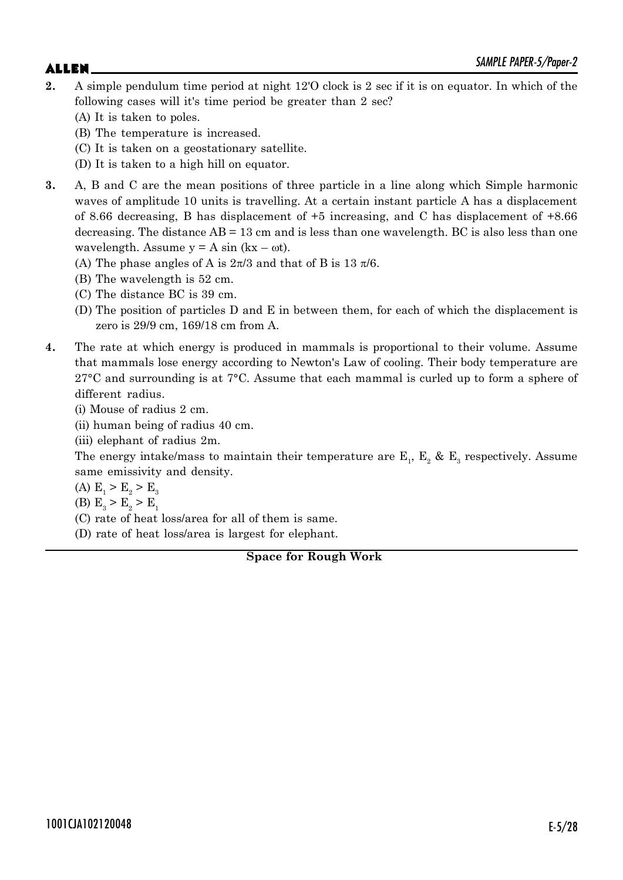# $\mathsf{ALLEN}$   $\blacksquare$

- **2.** A simple pendulum time period at night 12'O clock is 2 sec if it is on equator. In which of the following cases will it's time period be greater than 2 sec?
	- (A) It is taken to poles.
	- (B) The temperature is increased.
	- (C) It is taken on a geostationary satellite.
	- (D) It is taken to a high hill on equator.
- **3.** A, B and C are the mean positions of three particle in a line along which Simple harmonic waves of amplitude 10 units is travelling. At a certain instant particle A has a displacement of 8.66 decreasing, B has displacement of +5 increasing, and C has displacement of +8.66 decreasing. The distance  $AB = 13$  cm and is less than one wavelength. BC is also less than one wavelength. Assume  $y = A \sin(kx - \omega t)$ .
	- (A) The phase angles of A is  $2\pi/3$  and that of B is 13  $\pi/6$ .
	- (B) The wavelength is 52 cm.
	- (C) The distance BC is 39 cm.
	- (D) The position of particles D and E in between them, for each of which the displacement is zero is 29/9 cm, 169/18 cm from A.
- **4.** The rate at which energy is produced in mammals is proportional to their volume. Assume that mammals lose energy according to Newton's Law of cooling. Their body temperature are  $27^{\circ}$ C and surrounding is at  $7^{\circ}$ C. Assume that each mammal is curled up to form a sphere of different radius.

(i) Mouse of radius 2 cm.

(ii) human being of radius 40 cm.

(iii) elephant of radius 2m.

The energy intake/mass to maintain their temperature are  $\mathbb{E}^{}_{1}$ ,  $\mathbb{E}^{}_{2}$  &  $\mathbb{E}^{}_{3}$  respectively. Assume same emissivity and density.

(A)  $E_1 > E_2 > E_3$ 

(B)  $E_3 > E_2 > E_1$ 

(C) rate of heat loss/area for all of them is same.

(D) rate of heat loss/area is largest for elephant.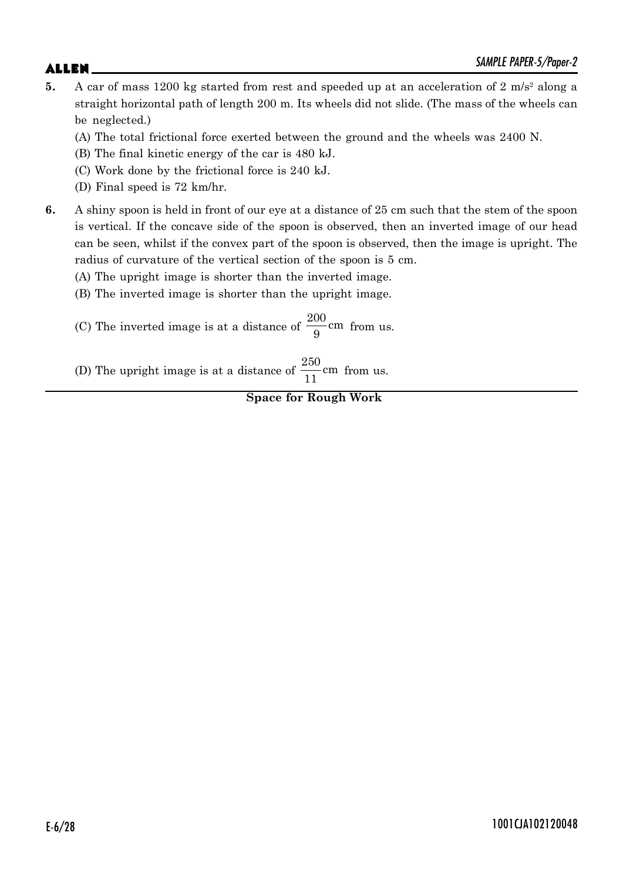- 5. A car of mass 1200 kg started from rest and speeded up at an acceleration of 2 m/s<sup>2</sup> along a straight horizontal path of length 200 m. Its wheels did not slide. (The mass of the wheels can be neglected.)
	- (A) The total frictional force exerted between the ground and the wheels was 2400 N.
	- (B) The final kinetic energy of the car is 480 kJ.
	- (C) Work done by the frictional force is 240 kJ.
	- (D) Final speed is 72 km/hr.
- **6.** A shiny spoon is held in front of our eye at a distance of 25 cm such that the stem of the spoon is vertical. If the concave side of the spoon is observed, then an inverted image of our head can be seen, whilst if the convex part of the spoon is observed, then the image is upright. The radius of curvature of the vertical section of the spoon is 5 cm.
	- (A) The upright image is shorter than the inverted image.
	- (B) The inverted image is shorter than the upright image.
	- (C) The inverted image is at a distance of  $\frac{200}{2}$ cm  $\frac{1}{9}$  cm from us.
	- (D) The upright image is at a distance of  $\frac{250}{11}$  cm from us.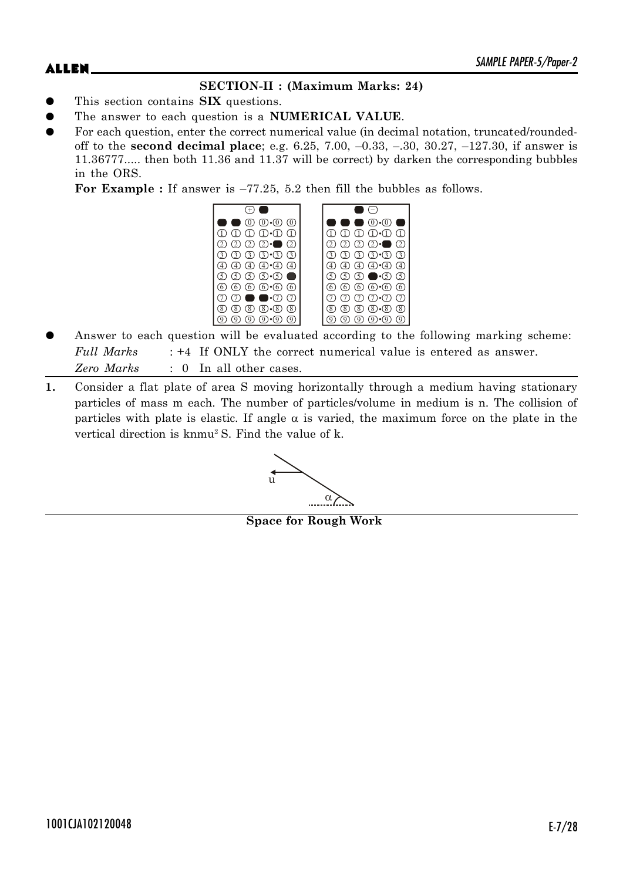# **SECTION-II : (Maximum Marks: 24)**

- This section contains **SIX** questions.
- The answer to each question is a **NUMERICAL VALUE**.
- For each question, enter the correct numerical value (in decimal notation, truncated/roundedoff to the **second decimal place**; e.g. 6.25, 7.00, –0.33, –.30, 30.27, –127.30, if answer is 11.36777..... then both 11.36 and 11.37 will be correct) by darken the corresponding bubbles in the ORS.

**For Example :** If answer is –77.25, 5.2 then fill the bubbles as follows.



- Answer to each question will be evaluated according to the following marking scheme: *Full Marks* : +4 If ONLY the correct numerical value is entered as answer. *Zero Marks* : 0 In all other cases.
- **1.** Consider a flat plate of area S moving horizontally through a medium having stationary particles of mass m each. The number of particles/volume in medium is n. The collision of particles with plate is elastic. If angle  $\alpha$  is varied, the maximum force on the plate in the vertical direction is knmu2 S. Find the value of k.



**Space for Rough Work**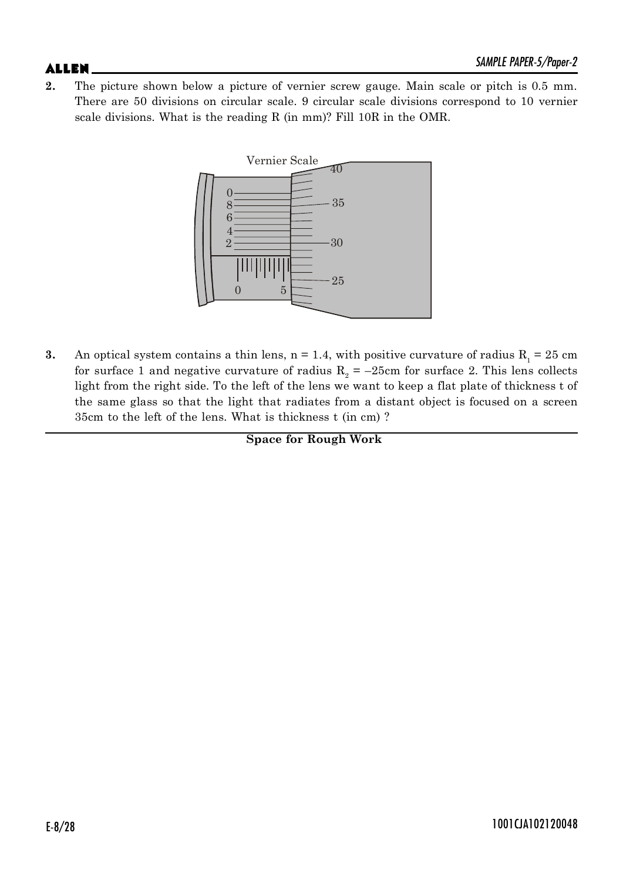**2.** The picture shown below a picture of vernier screw gauge. Main scale or pitch is 0.5 mm. There are 50 divisions on circular scale. 9 circular scale divisions correspond to 10 vernier scale divisions. What is the reading R (in mm)? Fill 10R in the OMR.



**3.** An optical system contains a thin lens,  $n = 1.4$ , with positive curvature of radius  $R_1 = 25$  cm for surface 1 and negative curvature of radius  $R_2 = -25$ cm for surface 2. This lens collects light from the right side. To the left of the lens we want to keep a flat plate of thickness t of the same glass so that the light that radiates from a distant object is focused on a screen 35cm to the left of the lens. What is thickness t (in cm) ?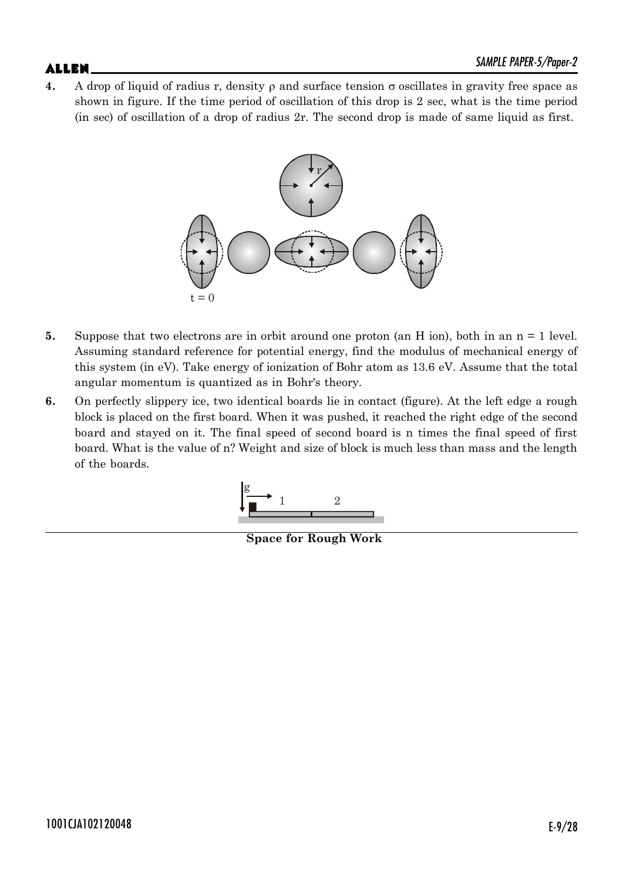**4.** A drop of liquid of radius r, density  $\rho$  and surface tension  $\sigma$  oscillates in gravity free space as shown in figure. If the time period of oscillation of this drop is 2 sec, what is the time period (in sec) of oscillation of a drop of radius 2r. The second drop is made of same liquid as first.



- **5.** Suppose that two electrons are in orbit around one proton (an H ion), both in an n = 1 level. Assuming standard reference for potential energy, find the modulus of mechanical energy of this system (in eV). Take energy of ionization of Bohr atom as 13.6 eV. Assume that the total angular momentum is quantized as in Bohr's theory.
- **6.** On perfectly slippery ice, two identical boards lie in contact (figure). At the left edge a rough block is placed on the first board. When it was pushed, it reached the right edge of the second board and stayed on it. The final speed of second board is n times the final speed of first board. What is the value of n? Weight and size of block is much less than mass and the length of the boards.



**Space for Rough Work**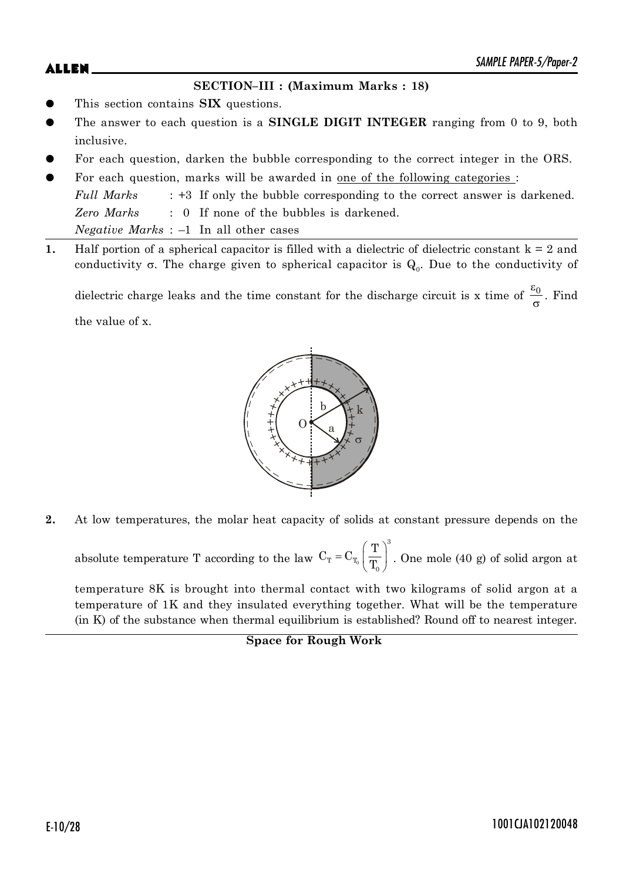## **SECTION–III : (Maximum Marks : 18)**

- This section contains **SIX** questions.
- The answer to each question is a **SINGLE DIGIT INTEGER** ranging from 0 to 9, both inclusive.
- For each question, darken the bubble corresponding to the correct integer in the ORS.
- For each question, marks will be awarded in one of the following categories : *Full Marks* : +3 If only the bubble corresponding to the correct answer is darkened. *Zero Marks* : 0 If none of the bubbles is darkened. *Negative Marks* : –1 In all other cases
- **1.** Half portion of a spherical capacitor is filled with a dielectric of dielectric constant  $k = 2$  and conductivity  $\sigma$ . The charge given to spherical capacitor is  $\mathrm{Q}_{\scriptscriptstyle{0}}$ . Due to the conductivity of

dielectric charge leaks and the time constant for the discharge circuit is x time of  $\frac{\varepsilon_0}{\varepsilon_0}$  $\frac{50}{\sigma}$ . Find the value of x.



**2.** At low temperatures, the molar heat capacity of solids at constant pressure depends on the

absolute temperature T according to the law  $C_T = C_{T_0}$ 3  $_{\rm T}$  –  $_{\rm C}$ 0  $C_T = C_T \left( \frac{T}{T} \right)$ T  $= C_{T_0} \left( \frac{T}{T_0} \right)^3$ . One mole (40 g) of solid argon at

temperature 8K is brought into thermal contact with two kilograms of solid argon at a temperature of 1K and they insulated everything together. What will be the temperature (in K) of the substance when thermal equilibrium is established? Round off to nearest integer.

```
Space for Rough Work
```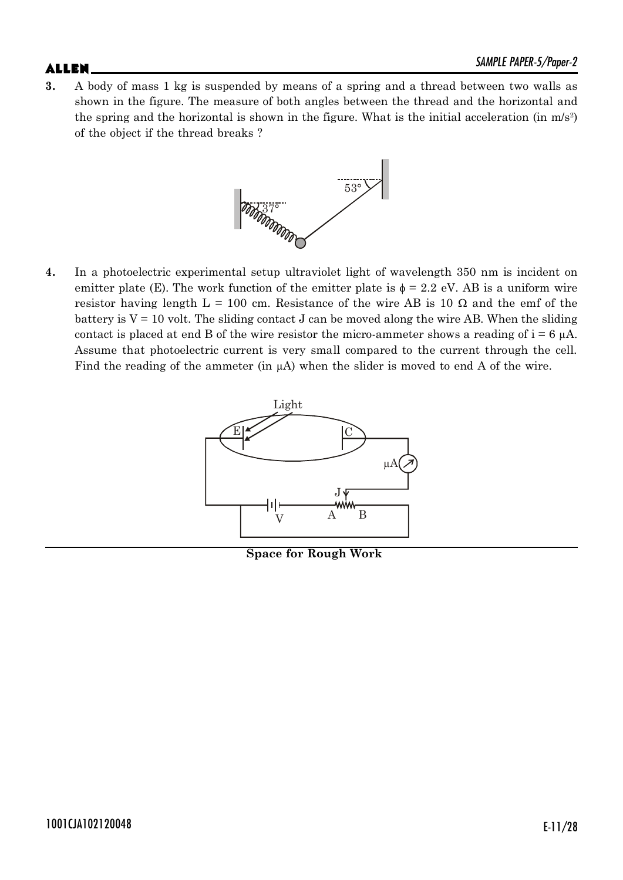$\mathsf{ALLEN}$   $\blacksquare$ **3.** A body of mass 1 kg is suspended by means of a spring and a thread between two walls as shown in the figure. The measure of both angles between the thread and the horizontal and the spring and the horizontal is shown in the figure. What is the initial acceleration (in  $m/s^2$ ) of the object if the thread breaks ?



**4.** In a photoelectric experimental setup ultraviolet light of wavelength 350 nm is incident on emitter plate (E). The work function of the emitter plate is  $\phi = 2.2$  eV. AB is a uniform wire resistor having length  $L = 100$  cm. Resistance of the wire AB is 10  $\Omega$  and the emf of the battery is  $V = 10$  volt. The sliding contact J can be moved along the wire AB. When the sliding contact is placed at end B of the wire resistor the micro-ammeter shows a reading of  $i = 6 \mu A$ . Assume that photoelectric current is very small compared to the current through the cell. Find the reading of the ammeter (in  $\mu$ A) when the slider is moved to end A of the wire.



**Space for Rough Work**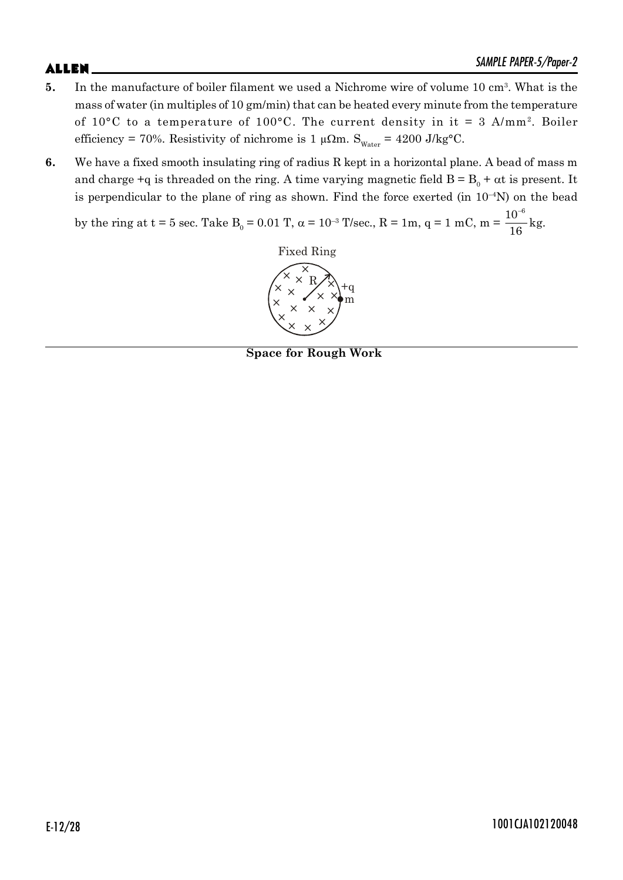- **5.** In the manufacture of boiler filament we used a Nichrome wire of volume 10 cm<sup>3</sup>. What is the mass of water (in multiples of 10 gm/min) that can be heated every minute from the temperature of 10°C to a temperature of 100°C. The current density in it = 3 A/mm<sup>2</sup> . Boiler efficiency = 70%. Resistivity of nichrome is 1  $\mu\Omega$ m. S<sub>Water</sub> = 4200 J/kg<sup>o</sup>C.
- **6.** We have a fixed smooth insulating ring of radius R kept in a horizontal plane. A bead of mass m and charge +q is threaded on the ring. A time varying magnetic field  $B = B_0 + \alpha t$  is present. It is perpendicular to the plane of ring as shown. Find the force exerted (in  $10^{-4}$ N) on the bead

by the ring at t = 5 sec. Take  $B_0 = 0.01$  T,  $\alpha = 10^{-3}$  T/sec., R = 1m, q = 1 mC, m =  $10^{-6}$ 16 ÷ kg.



**Space for Rough Work**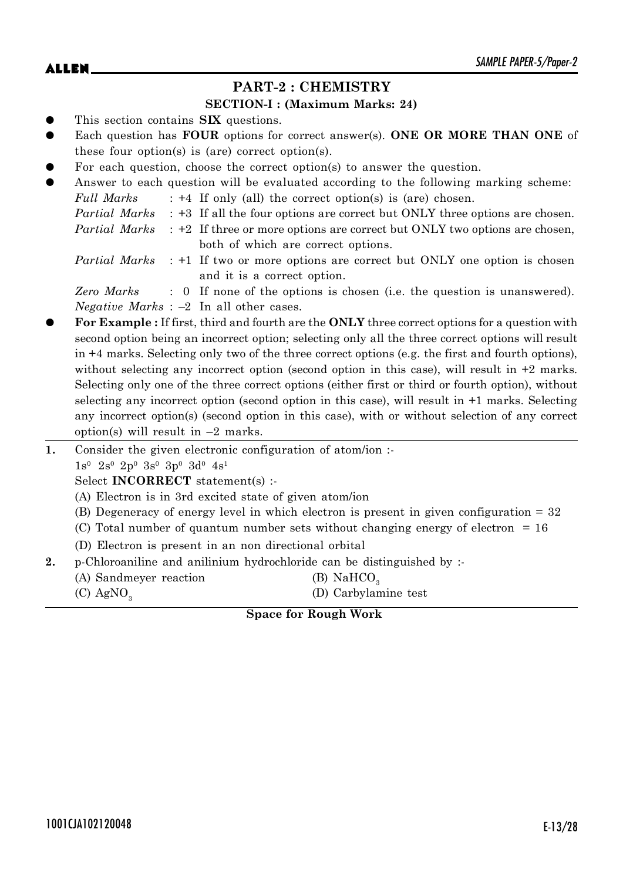# **PART-2 : CHEMISTRY**

### **SECTION-I : (Maximum Marks: 24)**

- This section contains **SIX** questions.
- Each question has **FOUR** options for correct answer(s). ONE OR MORE THAN ONE of these four option(s) is (are) correct option(s).
- For each question, choose the correct option(s) to answer the question.

| $\bullet$ |            | Answer to each question will be evaluated according to the following marking scheme:             |
|-----------|------------|--------------------------------------------------------------------------------------------------|
|           | Full Marks | $\div$ +4 If only (all) the correct option(s) is (are) chosen.                                   |
|           |            | <i>Partial Marks</i> : +3 If all the four options are correct but ONLY three options are chosen. |
|           |            | <i>Partial Marks</i> : +2 If three or more options are correct but ONLY two options are chosen,  |
|           |            | both of which are correct options.                                                               |

*Partial Marks* : +1 If two or more options are correct but ONLY one option is chosen and it is a correct option.

*Zero Marks* : 0 If none of the options is chosen (i.e. the question is unanswered). *Negative Marks* : –2 In all other cases.

- z **For Example :** If first, third and fourth are the **ONLY** three correct options for a question with second option being an incorrect option; selecting only all the three correct options will result in +4 marks. Selecting only two of the three correct options (e.g. the first and fourth options), without selecting any incorrect option (second option in this case), will result in  $+2$  marks. Selecting only one of the three correct options (either first or third or fourth option), without selecting any incorrect option (second option in this case), will result in +1 marks. Selecting any incorrect option(s) (second option in this case), with or without selection of any correct option(s) will result in  $-2$  marks.
- **1.** Consider the given electronic configuration of atom/ion :-
	- $1s^0$   $2s^0$   $2p^0$   $3s^0$   $3p^0$   $3d^0$   $4s^1$

Select **INCORRECT** statement(s) :-

- (A) Electron is in 3rd excited state of given atom/ion
- (B) Degeneracy of energy level in which electron is present in given configuration = 32
- (C) Total number of quantum number sets without changing energy of electron = 16
- (D) Electron is present in an non directional orbital
- **2.** p-Chloroaniline and anilinium hydrochloride can be distinguished by :-
	- (A) Sandmeyer reaction (B) NaHCO<sub>3</sub>
	- (C)  $AgNO<sub>3</sub>$

# (D) Carbylamine test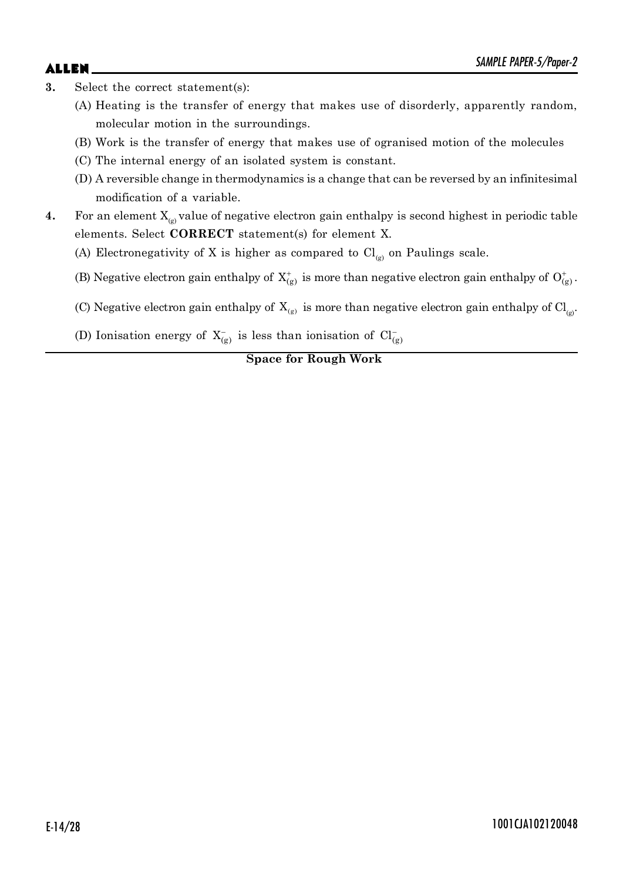- **3.** Select the correct statement(s):
	- (A) Heating is the transfer of energy that makes use of disorderly, apparently random, molecular motion in the surroundings.
	- (B) Work is the transfer of energy that makes use of ogranised motion of the molecules
	- (C) The internal energy of an isolated system is constant.
	- (D) A reversible change in thermodynamics is a change that can be reversed by an infinitesimal modification of a variable.
- **4.** For an element  $X_{(g)}$  value of negative electron gain enthalpy is second highest in periodic table elements. Select **CORRECT** statement(s) for element X.

(A) Electronegativity of X is higher as compared to  $Cl_{\rho}$  on Paulings scale.

- (B) Negative electron gain enthalpy of  $X_{(g)}^+$  is more than negative electron gain enthalpy of  $O_{(g)}^+$ .
- (C) Negative electron gain enthalpy of  $X_{(g)}$  is more than negative electron gain enthalpy of  $Cl_{(g)}$ .
- (D) Ionisation energy of  $X_{(g)}^-$  is less than ionisation of  $Cl_{(g)}^-$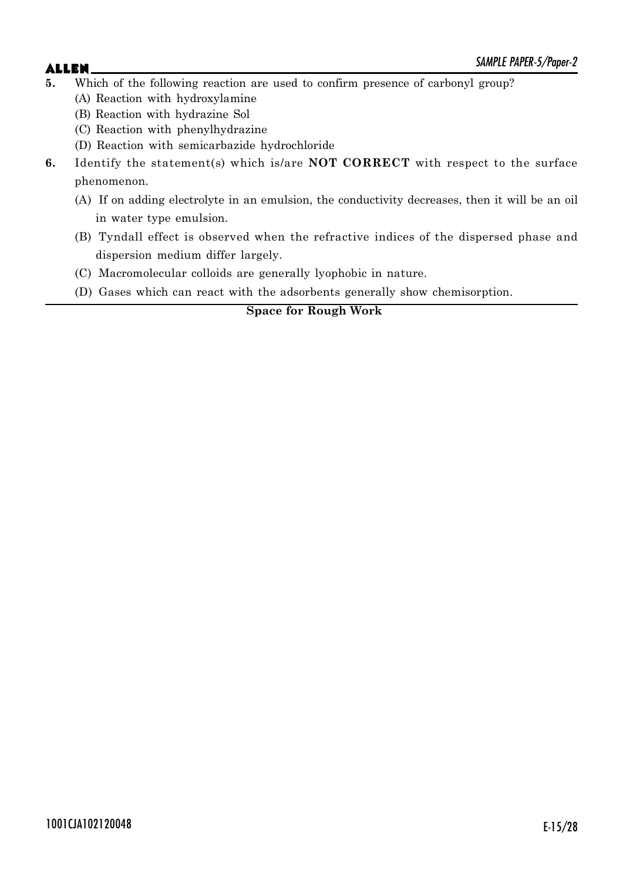# $\mathsf{ALLEN}$   $\blacksquare$

- **5.** Which of the following reaction are used to confirm presence of carbonyl group?
	- (A) Reaction with hydroxylamine
	- (B) Reaction with hydrazine Sol
	- (C) Reaction with phenylhydrazine
	- (D) Reaction with semicarbazide hydrochloride
- **6.** Identify the statement(s) which is/are **NOT CORRECT** with respect to the surface phenomenon.
	- (A) If on adding electrolyte in an emulsion, the conductivity decreases, then it will be an oil in water type emulsion.
	- (B) Tyndall effect is observed when the refractive indices of the dispersed phase and dispersion medium differ largely.
	- (C) Macromolecular colloids are generally lyophobic in nature.
	- (D) Gases which can react with the adsorbents generally show chemisorption.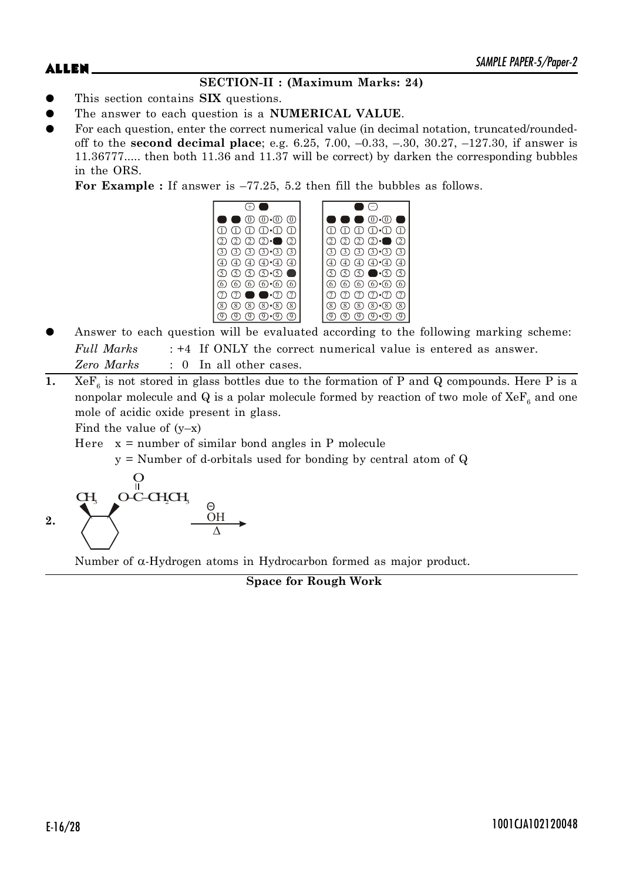# **SECTION-II : (Maximum Marks: 24)**

- z This section contains **SIX** questions.
- The answer to each question is a **NUMERICAL VALUE**.
- For each question, enter the correct numerical value (in decimal notation, truncated/roundedoff to the **second decimal place**; e.g. 6.25, 7.00, –0.33, –.30, 30.27, –127.30, if answer is 11.36777..... then both 11.36 and 11.37 will be correct) by darken the corresponding bubbles in the ORS.

**For Example :** If answer is –77.25, 5.2 then fill the bubbles as follows.



- Answer to each question will be evaluated according to the following marking scheme: *Full Marks* : +4 If ONLY the correct numerical value is entered as answer. *Zero Marks* : 0 In all other cases.
- **1.**  $X \oplus F_6$  is not stored in glass bottles due to the formation of P and Q compounds. Here P is a nonpolar molecule and  $\mathrm{Q}$  is a polar molecule formed by reaction of two mole of  $\mathrm{XeF}_{_{6}}$  and one mole of acidic oxide present in glass.

Find the value of  $(y-x)$ 

Here  $x =$  number of similar bond angles in P molecule

y = Number of d-orbitals used for bonding by central atom of Q



Number of  $\alpha$ -Hydrogen atoms in Hydrocarbon formed as major product.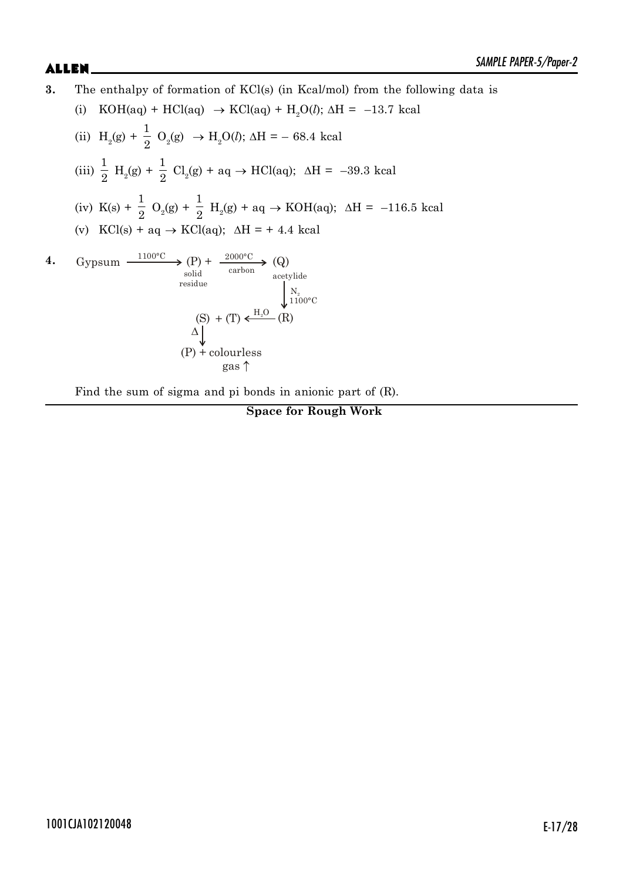**3.** The enthalpy of formation of KCl(s) (in Kcal/mol) from the following data is (i) KOH(aq) + HCl(aq)  $\rightarrow$  KCl(aq) + H<sub>2</sub>O(*l*);  $\Delta$ H = –13.7 kcal (ii)  $H_2(g)$  + 1  $\frac{1}{2}$  O<sub>2</sub>(g)  $\rightarrow$  H<sub>2</sub>O(l);  $\Delta$ H = – 68.4 kcal (iii) 1  $\frac{1}{2}$  H<sub>2</sub>(g) + 1  $\frac{1}{2}$  Cl<sub>2</sub>(g) + aq  $\rightarrow$  HCl(aq);  $\Delta H = -39.3$  kcal  $(iv)$  K(s) + 1  $\frac{1}{2}$  O<sub>2</sub>(g) + 1  $\frac{1}{2}$  H<sub>2</sub>(g) + aq  $\rightarrow$  KOH(aq);  $\Delta H = -116.5$  kcal (v)  $\text{KCl}(s) + aq \rightarrow \text{KCl}(aq); \Delta H = +4.4 \text{ kcal}$ **4.** Gypsum  $\xrightarrow{1100^{\circ}C} (P) + \frac{2000^{\circ}C}{Q} (Q)$ acetylide  $N_{2}$ <br>1100°C  $(S) + (T) \xleftarrow{H_2 O} (R)$  $\Delta$ (P) + colourless gas  $\uparrow$ solid carbon residue

Find the sum of sigma and pi bonds in anionic part of (R).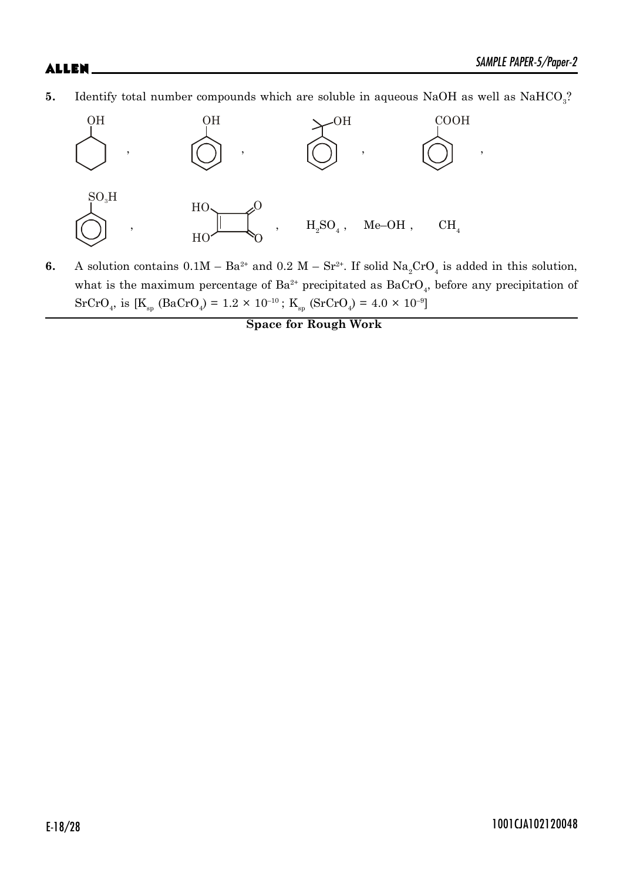**5.** Identify total number compounds which are soluble in aqueous NaOH as well as  $\text{NaHCO}_3$ ?



**6.** A solution contains  $0.1M - Ba^{2+}$  and  $0.2 M - Sr^{2+}$ . If solid  $Na_2CrO_4$  is added in this solution, what is the maximum percentage of  $Ba^{2+}$  precipitated as  $BaCrO<sub>4</sub>$ , before any precipitation of  $SrCrO<sub>4</sub>$ , is [K<sub>sp</sub> (BaCrO<sub>4</sub>) = 1.2 × 10<sup>-10</sup>; K<sub>sp</sub> (SrCrO<sub>4</sub>) = 4.0 × 10<sup>-9</sup>]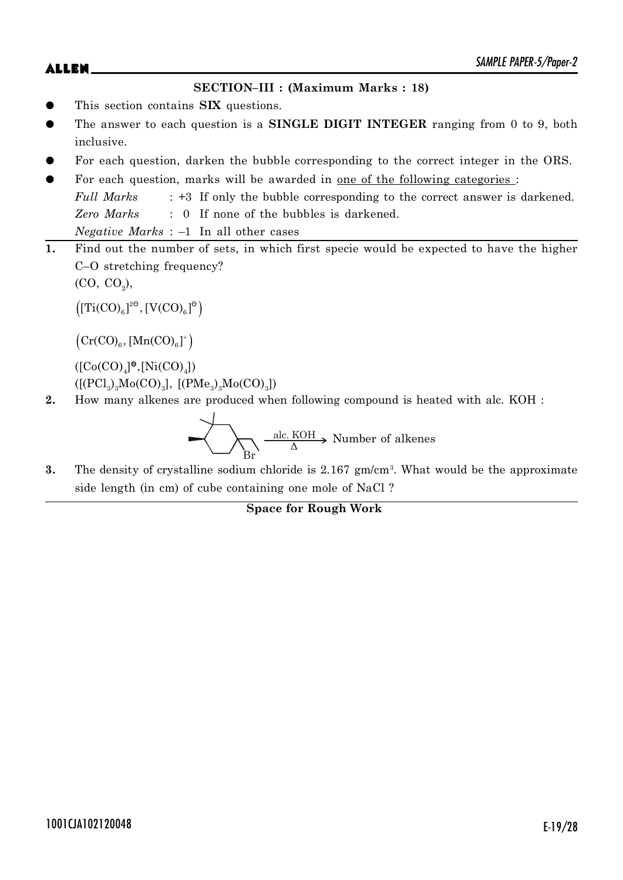$\mathsf{ALLEN}$   $\blacksquare$ 

## **SECTION–III : (Maximum Marks : 18)**

- This section contains **SIX** questions.
- The answer to each question is a **SINGLE DIGIT INTEGER** ranging from 0 to 9, both inclusive.
- For each question, darken the bubble corresponding to the correct integer in the ORS.
- For each question, marks will be awarded in <u>one of the following categories</u> : *Full Marks* : +3 If only the bubble corresponding to the correct answer is darkened. *Zero Marks* : 0 If none of the bubbles is darkened. *Negative Marks* : –1 In all other cases
- **1.** Find out the number of sets, in which first specie would be expected to have the higher C–O stretching frequency?

 $(CO, CO<sub>2</sub>)$ ,

 $\left(\left[\text{Ti(CO)}_{6}\right]^{2\Theta},\left[\text{V(CO)}_{6}\right]^\Theta\right)$ 

 $\left(\operatorname{Cr(CO)_6}, \left[\operatorname{Mn(CO)_6}\right]^+\right)$ 

 $([{\rm Co(CO)}_4]^{\bullet}, [{\rm Ni(CO)}_4])$  $([[{\rm PCl}_{3})_{3}{\rm Mo(CO)}_{3}], [({\rm PMe}_{3})_{3}{\rm Mo(CO)}_{3}])$ 

**2.** How many alkenes are produced when following compound is heated with alc. KOH :

Br  $\frac{\text{alc. KOH}}{\text{Number of alkenes}}$ 

**3.** The density of crystalline sodium chloride is 2.167 gm/cm<sup>3</sup>. What would be the approximate side length (in cm) of cube containing one mole of NaCl ?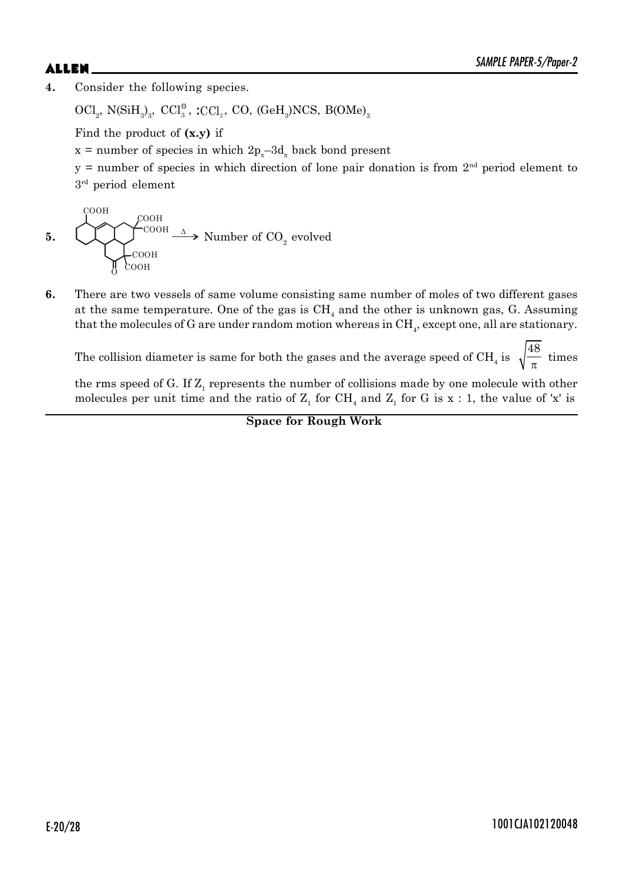# $\mathsf{ALLEN}$   $\blacksquare$

**4.** Consider the following species.

 $\rm{OCl}_{2}$ ,  $\rm{N(SiH}_{3})_{3},$   $\rm{CCl}_{3}^{\circ}$ ,  $\rm{;CCl}_{2},$   $\rm{CO},$   $\rm{(GeH}_{3})\rm{NCS},$   $\rm{B(OMe)}_{3}$ 

Find the product of **(x.y)** if

 $x =$  number of species in which  $2p_{\pi} - 3d_{\pi}$  back bond present

 $y =$  number of species in which direction of lone pair donation is from  $2<sup>nd</sup>$  period element to 3 rd period element

5. 
$$
\begin{array}{ccc}\n& \downarrow^{\text{COOH}}\\
& \downarrow^{\text{COOH}}\\
& \downarrow^{\text{COOH}}\\
& \downarrow^{\text{COOH}}\\
& \downarrow^{\text{COOH}}\\
& \downarrow^{\text{COOH}}\\
& \downarrow^{\text{COOH}}\\
& \downarrow^{\text{COOH}}\\
& \downarrow^{\text{COOH}}\\
& \downarrow^{\text{COOH}}\\
& \downarrow^{\text{COOH}}\\
& \downarrow^{\text{COOH}}\\
& \downarrow^{\text{COOH}}\\
& \downarrow^{\text{COOH}}\\
& \downarrow^{\text{COOH}}\\
& \downarrow^{\text{COOH}}\\
& \downarrow^{\text{COOH}}\\
& \downarrow^{\text{COOH}}\\
& \downarrow^{\text{COOH}}\\
& \downarrow^{\text{COOH}}\\
& \downarrow^{\text{COOH}}\\
& \downarrow^{\text{COOH}}\\
& \downarrow^{\text{COOH}}\\
& \downarrow^{\text{COOH}}\\
& \downarrow^{\text{COOH}}\\
& \downarrow^{\text{COOH}}\\
& \downarrow^{\text{COOH}}\\
& \downarrow^{\text{COOH}}\\
& \downarrow^{\text{COOH}}\\
& \downarrow^{\text{COOH}}\\
& \downarrow^{\text{COOH}}\\
& \downarrow^{\text{COOH}}\\
& \downarrow^{\text{COOH}}\\
& \downarrow^{\text{COOH}}\\
& \downarrow^{\text{COOH}}\\
& \downarrow^{\text{COOH}}\\
& \downarrow^{\text{COOH}}\\
& \downarrow^{\text{COOH}}\\
& \downarrow^{\text{COOH}}\\
& \downarrow^{\text{COOH}}\\
& \downarrow^{\text{COOH}}\\
& \downarrow^{\text{COOH}}\\
& \downarrow^{\text{COOH}}\\
& \downarrow^{\text{COOH}}\\
& \downarrow^{\text{COOH}}\\
& \downarrow^{\text{COOH}}\\
& \downarrow^{\text{COOH}}\\
& \downarrow^{\text{COOH}}\\
& \downarrow^{\text{COOH}}\\
& \downarrow^{\text{COOH}}\\
& \downarrow^{\text{COOH}}\\
& \downarrow^{\text{COOH}}\\
& \downarrow^{\text{COOH}}\\
& \downarrow^{\text{COOH}}\\
& \downarrow^{\text{COOH}}\\
& \downarrow^{\text{COOH}}\\
& \downarrow^{\text{COOH}}\\
& \downarrow^{\text{CO
$$

**6.** There are two vessels of same volume consisting same number of moles of two different gases at the same temperature. One of the gas is  $\mathrm{CH}_4$  and the other is unknown gas, G. Assuming that the molecules of G are under random motion whereas in  $\mathrm{CH}_4$ , except one, all are stationary.

The collision diameter is same for both the gases and the average speed of  $\text{CH}_4^{}$  is 48  $\frac{1}{\pi}$  times

the rms speed of G. If  $\mathbf{Z}_1$  represents the number of collisions made by one molecule with other molecules per unit time and the ratio of  $Z_1$  for CH<sub>4</sub> and  $Z_1$  for G is x : 1, the value of 'x' is

**Space for Rough Work**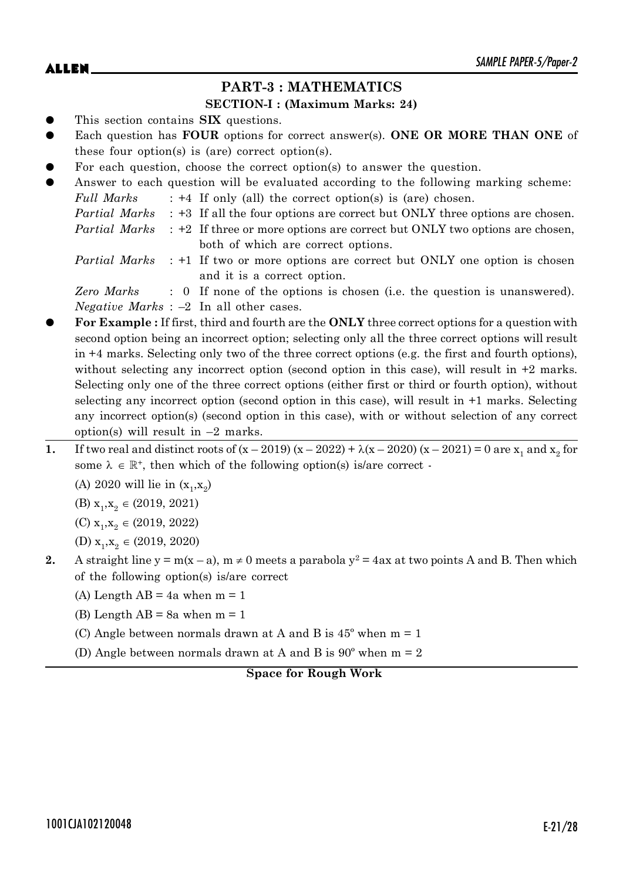## **PART-3 : MATHEMATICS**

### **SECTION-I : (Maximum Marks: 24)**

- This section contains **SIX** questions.
- Each question has **FOUR** options for correct answer(s). ONE OR MORE THAN ONE of these four option(s) is (are) correct option(s).
- For each question, choose the correct option(s) to answer the question.
- Answer to each question will be evaluated according to the following marking scheme: *Full Marks* : +4 If only (all) the correct option(s) is (are) chosen. *Partial Marks* : +3 If all the four options are correct but ONLY three options are chosen. *Partial Marks* : +2 If three or more options are correct but ONLY two options are chosen, both of which are correct options.
	- *Partial Marks* : +1 If two or more options are correct but ONLY one option is chosen and it is a correct option.

*Zero Marks* : 0 If none of the options is chosen (i.e. the question is unanswered). *Negative Marks* : –2 In all other cases.

- z **For Example :** If first, third and fourth are the **ONLY** three correct options for a question with second option being an incorrect option; selecting only all the three correct options will result in +4 marks. Selecting only two of the three correct options (e.g. the first and fourth options), without selecting any incorrect option (second option in this case), will result in  $+2$  marks. Selecting only one of the three correct options (either first or third or fourth option), without selecting any incorrect option (second option in this case), will result in +1 marks. Selecting any incorrect option(s) (second option in this case), with or without selection of any correct option(s) will result in  $-2$  marks.
- **1.** If two real and distinct roots of  $(x 2019) (x 2022) + \lambda(x 2020) (x 2021) = 0$  are  $x_1$  and  $x_2$  for some  $\lambda \in \mathbb{R}^+$ , then which of the following option(s) is/are correct -

(A) 2020 will lie in  $(x_1, x_2)$ 

(B)  $x_1, x_2 \in (2019, 2021)$ 

- (C)  $x_1, x_2 \in (2019, 2022)$
- (D)  $x_1, x_2 \in (2019, 2020)$
- **2.** A straight line  $y = m(x a)$ ,  $m \neq 0$  meets a parabola  $y^2 = 4ax$  at two points A and B. Then which of the following option(s) is/are correct
	- (A) Length AB =  $4a$  when m = 1
	- (B) Length  $AB = 8a$  when  $m = 1$
	- (C) Angle between normals drawn at A and B is  $45^{\circ}$  when m = 1
	- (D) Angle between normals drawn at A and B is  $90^{\circ}$  when m = 2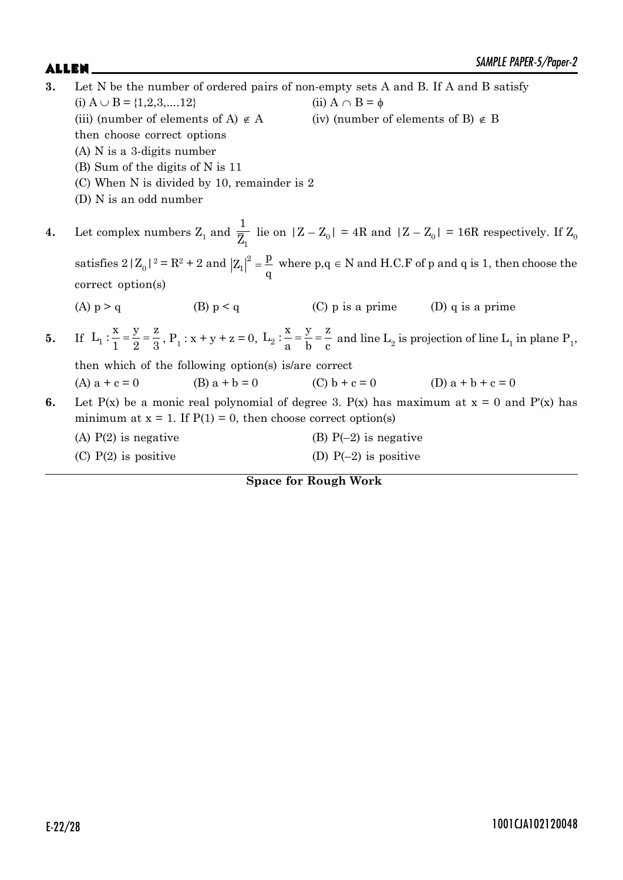| 3. | Let N be the number of ordered pairs of non-empty sets A and B. If A and B satisfy |                                                                    |                                                     |                                                                                                                                                                                       |  |
|----|------------------------------------------------------------------------------------|--------------------------------------------------------------------|-----------------------------------------------------|---------------------------------------------------------------------------------------------------------------------------------------------------------------------------------------|--|
|    | (i) $A \cup B = \{1, 2, 3, \dots, 12\}$                                            |                                                                    | (ii) $A \cap B = \phi$                              |                                                                                                                                                                                       |  |
|    |                                                                                    | (iii) (number of elements of A) $\notin$ A                         | (iv) (number of elements of B) $\notin$ B           |                                                                                                                                                                                       |  |
|    | then choose correct options                                                        |                                                                    |                                                     |                                                                                                                                                                                       |  |
|    | $(A)$ N is a 3-digits number                                                       |                                                                    |                                                     |                                                                                                                                                                                       |  |
|    | (B) Sum of the digits of N is 11                                                   |                                                                    |                                                     |                                                                                                                                                                                       |  |
|    |                                                                                    | (C) When N is divided by 10, remainder is 2                        |                                                     |                                                                                                                                                                                       |  |
|    | (D) N is an odd number                                                             |                                                                    |                                                     |                                                                                                                                                                                       |  |
| 4. |                                                                                    |                                                                    |                                                     | Let complex numbers $Z_1$ and $\frac{1}{\overline{Z}_1}$ lie on $ Z - Z_0  = 4R$ and $ Z - Z_0  = 16R$ respectively. If $Z_0$                                                         |  |
|    |                                                                                    |                                                                    |                                                     | satisfies $2  Z_0 ^2 = R^2 + 2$ and $ Z_1 ^2 = \frac{p}{q}$ where $p, q \in N$ and H.C.F of p and q is 1, then choose the                                                             |  |
|    | correct option(s)                                                                  |                                                                    |                                                     |                                                                                                                                                                                       |  |
|    | $(A)$ $p > q$                                                                      | (B) $p < q$                                                        | $(C)$ p is a prime $(D)$ q is a prime               |                                                                                                                                                                                       |  |
| 5. |                                                                                    |                                                                    |                                                     | If $L_1: \frac{x}{1} = \frac{y}{2} = \frac{z}{3}$ , $P_1: x + y + z = 0$ , $L_2: \frac{x}{2} = \frac{y}{b} = \frac{z}{c}$ and line $L_2$ is projection of line $L_1$ in plane $P_1$ , |  |
|    | then which of the following option(s) is are correct                               |                                                                    |                                                     |                                                                                                                                                                                       |  |
|    | (A) $a + c = 0$                                                                    |                                                                    | (B) $a + b = 0$ (C) $b + c = 0$ (D) $a + b + c = 0$ |                                                                                                                                                                                       |  |
| 6. |                                                                                    | minimum at $x = 1$ . If $P(1) = 0$ , then choose correct option(s) |                                                     | Let P(x) be a monic real polynomial of degree 3. P(x) has maximum at $x = 0$ and P'(x) has                                                                                            |  |
|    | $(A)$ P $(2)$ is negative                                                          |                                                                    | (B) $P(-2)$ is negative                             |                                                                                                                                                                                       |  |
|    | $(C)$ P(2) is positive                                                             |                                                                    | (D) $P(-2)$ is positive                             |                                                                                                                                                                                       |  |
|    |                                                                                    |                                                                    |                                                     |                                                                                                                                                                                       |  |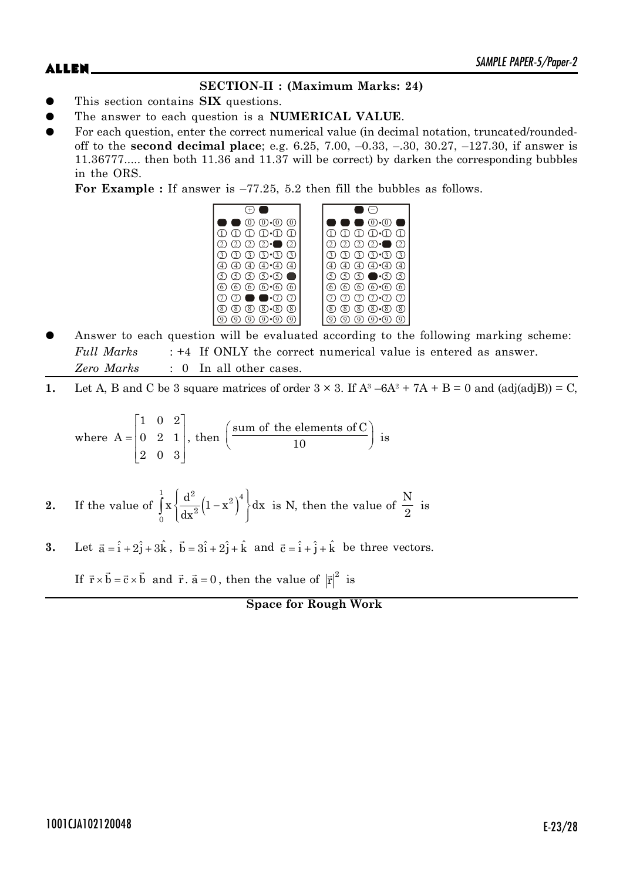# **SECTION-II : (Maximum Marks: 24)**

- This section contains **SIX** questions.
- The answer to each question is a **NUMERICAL VALUE**.
- For each question, enter the correct numerical value (in decimal notation, truncated/roundedoff to the **second decimal place**; e.g. 6.25, 7.00, –0.33, –.30, 30.27, –127.30, if answer is 11.36777..... then both 11.36 and 11.37 will be correct) by darken the corresponding bubbles in the ORS.

For Example : If answer is  $-77.25$ , 5.2 then fill the bubbles as follows.



- Answer to each question will be evaluated according to the following marking scheme: *Full Marks* : +4 If ONLY the correct numerical value is entered as answer. *Zero Marks* : 0 In all other cases.
- **1.** Let A, B and C be 3 square matrices of order  $3 \times 3$ . If  $A^3 6A^2 + 7A + B = 0$  and  $\text{(adj}(\text{adj}B)) = C$ ,

where 
$$
A = \begin{bmatrix} 1 & 0 & 2 \\ 0 & 2 & 1 \\ 2 & 0 & 3 \end{bmatrix}
$$
, then  $\begin{pmatrix} \text{sum of the elements of C} \\ 10 \end{pmatrix}$  is

- **2.** If the value of  $\left| x \right| \frac{d}{dx} \left( 1 x^2 \right)$  $\int_{1}^{1} d^2 (1 - x^2)^4$ 2 0  $x \left\{ \frac{d^2}{dx^2} (1 - x^2)^4 \right\} dx$  $\left\{\frac{d^2}{dx^2}\left(1-x^2\right)^4\right\}c$  $\int_0^{\infty} x \left\{ \frac{d}{dx^2} (1-x^2)^2 \right\} dx$  is N, then the value of N  $\frac{1}{2}$  is
- **3.** Let  $\vec{a} = \hat{i} + 2\hat{j} + 3\hat{k}$ ,  $\vec{b} = 3\hat{i} + 2\hat{j} + \hat{k}$  and  $\vec{c} = \hat{i} + \hat{j} + \hat{k}$  be three vectors.

If  $\vec{r} \times \vec{b} = \vec{c} \times \vec{b}$  and  $\vec{r} \cdot \vec{a} = 0$ , then the value of  $|\vec{r}|^2$  is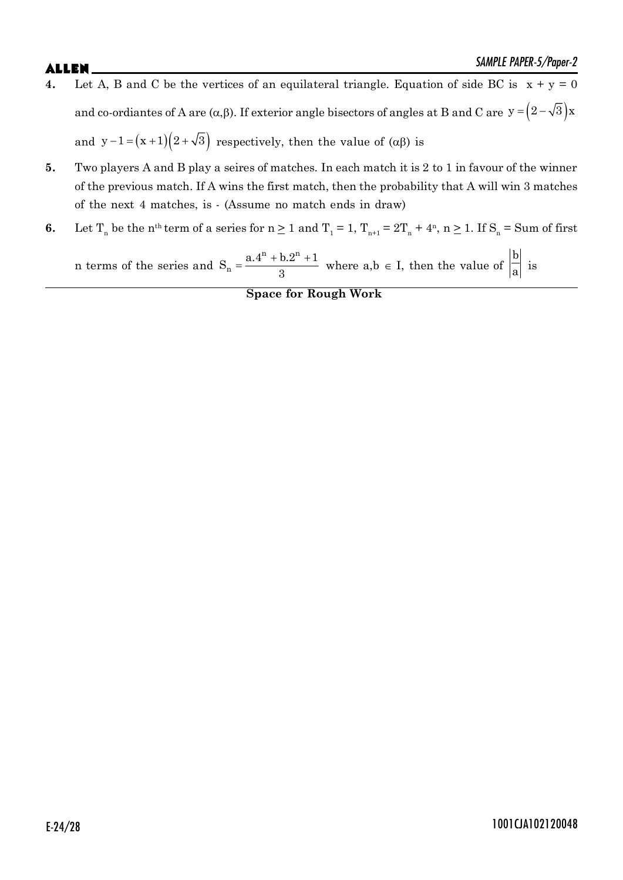# $\mathsf{ALLEN}$   $\blacksquare$

- **4.** Let A, B and C be the vertices of an equilateral triangle. Equation of side BC is  $x + y = 0$ and co-ordiantes of A are  $(\alpha, \beta)$ . If exterior angle bisectors of angles at B and C are  $y = (2 - \sqrt{3})x$ and  $y-1 = (x+1)(2+\sqrt{3})$  respectively, then the value of  $(\alpha\beta)$  is
- **5.** Two players A and B play a seires of matches. In each match it is 2 to 1 in favour of the winner of the previous match. If A wins the first match, then the probability that A will win 3 matches of the next 4 matches, is - (Assume no match ends in draw)
- **6.** Let  $T_n$  be the n<sup>th</sup> term of a series for  $n \ge 1$  and  $T_1 = 1$ ,  $T_{n+1} = 2T_n + 4^n$ ,  $n \ge 1$ . If  $S_n = S$ um of first

n terms of the series and  $S_n = \frac{a \cdot 4^n + b \cdot 2^n + 1}{2}$  $n + b$  on  $S_n = \frac{a_1^2 + b_2^2 + 1}{2}$  $\frac{3!2!+1}{3}$  where a,b  $\in$  I, then the value of b  $\overline{a}$  is

**Space for Rough Work**

# E-24/28 1001CJA102120048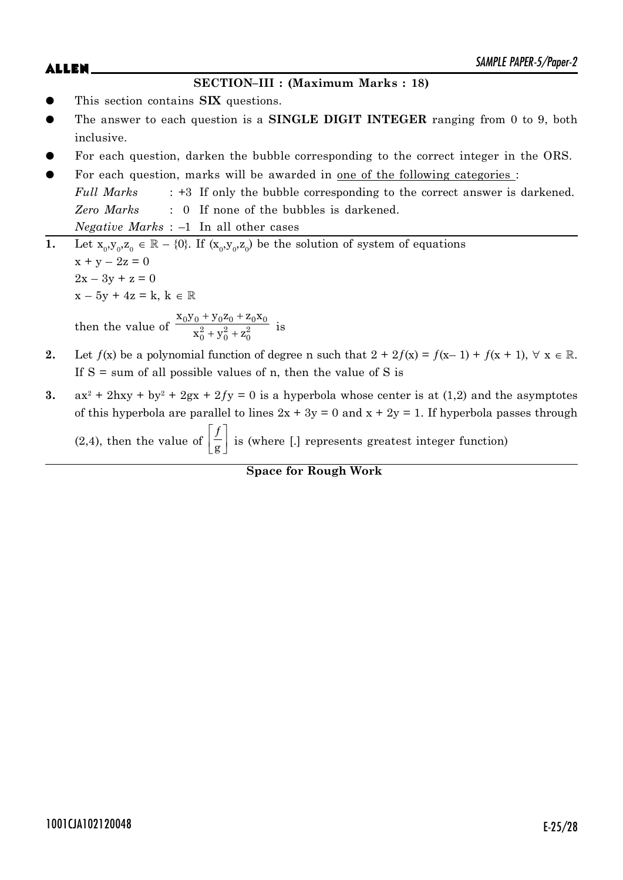### **SECTION–III : (Maximum Marks : 18)**

- This section contains **SIX** questions.
- The answer to each question is a **SINGLE DIGIT INTEGER** ranging from 0 to 9, both inclusive.
- For each question, darken the bubble corresponding to the correct integer in the ORS.
- For each question, marks will be awarded in one of the following categories : *Full Marks* : +3 If only the bubble corresponding to the correct answer is darkened. *Zero Marks* : 0 If none of the bubbles is darkened. *Negative Marks* : –1 In all other cases
- **1.** Let  $x_0, y_0, z_0 \in \mathbb{R} \{0\}$ . If  $(x_0, y_0, z_0)$  be the solution of system of equations  $x + y - 2z = 0$  $2x - 3y + z = 0$  $x - 5y + 4z = k, k \in \mathbb{R}$ then the value of  $+ y_0 z_0 + z$  $+ y_0^2 + z$  $0y_0 + y_0z_0 + z_0x_0$  $^{2}_{0}+y^{2}_{0}+z^{2}_{0}$  $x_0y_0 + y_0z_0 + z_0x$  $\frac{x_0^2 + y_0^2 + z_0^2}{x_0^2 + y_0^2 + z_0^2}$  is
- **2.** Let  $f(x)$  be a polynomial function of degree n such that  $2 + 2f(x) = f(x-1) + f(x+1)$ ,  $\forall x \in \mathbb{R}$ . If  $S =$  sum of all possible values of n, then the value of S is
- 3.  $ax^2 + 2hxy + by^2 + 2gx + 2fy = 0$  is a hyperbola whose center is at (1,2) and the asymptotes of this hyperbola are parallel to lines  $2x + 3y = 0$  and  $x + 2y = 1$ . If hyperbola passes through (2,4), then the value of  $| f |$  $\left[\frac{ }{\mathbf{g}}\right]$ ƒ  $\frac{y}{g}$  is (where [.] represents greatest integer function)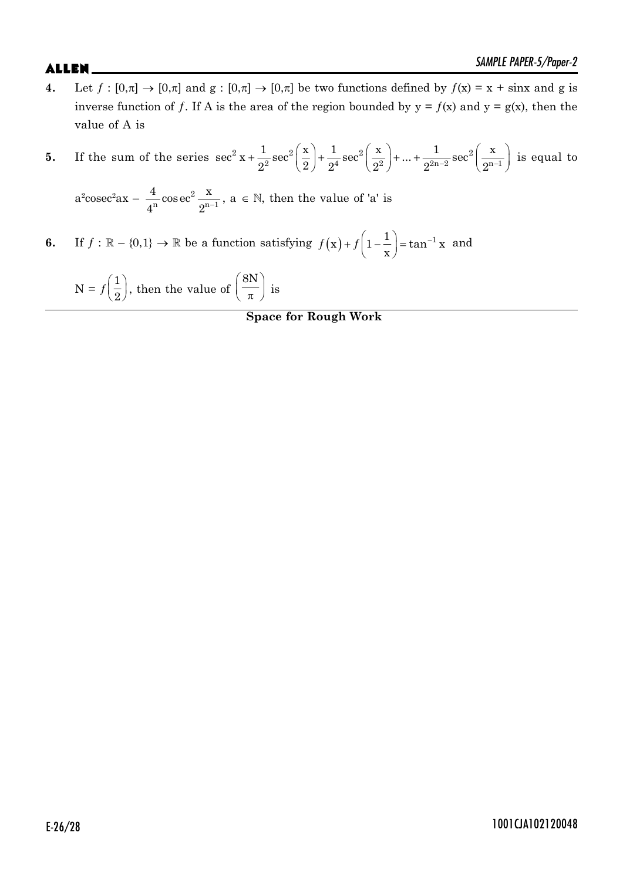**4.** Let  $f : [0,\pi] \to [0,\pi]$  and  $g : [0,\pi] \to [0,\pi]$  be two functions defined by  $f(x) = x + \sin x$  and g is inverse function of f. If A is the area of the region bounded by  $y = f(x)$  and  $y = g(x)$ , then the value of A is

5. If the sum of the series 
$$
\sec^2 x + \frac{1}{2^2} \sec^2 \left( \frac{x}{2} \right) + \frac{1}{2^4} \sec^2 \left( \frac{x}{2^2} \right) + \ldots + \frac{1}{2^{2n-2}} \sec^2 \left( \frac{x}{2^{n-1}} \right)
$$
 is equal to

 $a^2 \csc^2 ax - \frac{1}{4^n} \cos \left( \frac{a}{2} \right)^n$ 2  $n \overset{\text{conv}}{\sim} \Omega^{-1}$  $\frac{4}{\pi}$ cosec<sup>2</sup> $\frac{x}{\pi}$  $4^n$  2 ,  $a \in \mathbb{N}$ , then the value of 'a' is

**6.** If  $f : \mathbb{R} - \{0,1\} \to \mathbb{R}$  be a function satisfying  $f(x) + f\left(1 - \frac{1}{x}\right) = \tan^{-1} x$ x and

$$
N = f\left(\frac{1}{2}\right)
$$
, then the value of  $\left(\frac{8N}{\pi}\right)$  is